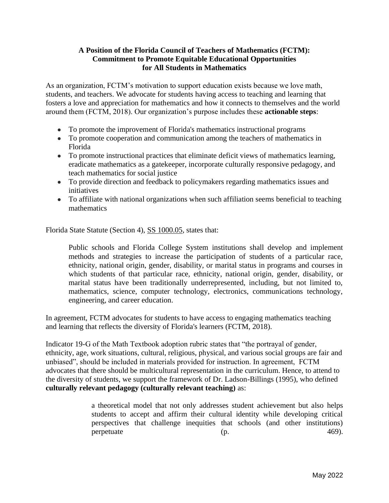## **A Position of the Florida Council of Teachers of Mathematics (FCTM): Commitment to Promote Equitable Educational Opportunities for All Students in Mathematics**

As an organization, FCTM's motivation to support education exists because we love math, students, and teachers. We advocate for students having access to teaching and learning that fosters a love and appreciation for mathematics and how it connects to themselves and the world around them (FCTM, 2018). Our organization's purpose includes these **actionable steps**:

- To promote the improvement of Florida's mathematics instructional programs
- To promote cooperation and communication among the teachers of mathematics in Florida
- To promote instructional practices that eliminate deficit views of mathematics learning, eradicate mathematics as a gatekeeper, incorporate culturally responsive pedagogy, and teach mathematics for social justice
- To provide direction and feedback to policymakers regarding mathematics issues and initiatives
- To affiliate with national organizations when such affiliation seems beneficial to teaching mathematics

Florida State Statute (Section 4), [SS 1000.05,](http://www.leg.state.fl.us/statutes/index.cfm?mode=View%20Statutes&SubMenu=1&App_mode=Display_Statute&Search_String=1000.05&URL=1000-1099/1000/Sections/1000.05.html) states that:

Public schools and Florida College System institutions shall develop and implement methods and strategies to increase the participation of students of a particular race, ethnicity, national origin, gender, disability, or marital status in programs and courses in which students of that particular race, ethnicity, national origin, gender, disability, or marital status have been traditionally underrepresented, including, but not limited to, mathematics, science, computer technology, electronics, communications technology, engineering, and career education.

In agreement, FCTM advocates for students to have access to engaging mathematics teaching and learning that reflects the diversity of Florida's learners (FCTM, 2018).

Indicator 19-G of the Math Textbook adoption rubric states that "the portrayal of gender, ethnicity, age, work situations, cultural, religious, physical, and various social groups are fair and unbiased", should be included in materials provided for instruction. In agreement, FCTM advocates that there should be multicultural representation in the curriculum. Hence, to attend to the diversity of students, we support the framework of Dr. Ladson-Billings (1995), who defined **culturally relevant pedagogy (culturally relevant teaching)** as:

> a theoretical model that not only addresses student achievement but also helps students to accept and affirm their cultural identity while developing critical perspectives that challenge inequities that schools (and other institutions) perpetuate [\(p. 469\)](https://www.nsta.org/science-and-children/science-and-children-marchapril-2021/culturally-relevant-and-culturally#B2).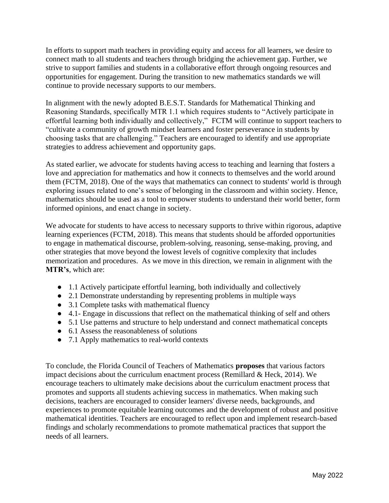In efforts to support math teachers in providing equity and access for all learners, we desire to connect math to all students and teachers through bridging the achievement gap. Further, we strive to support families and students in a collaborative effort through ongoing resources and opportunities for engagement. During the transition to new mathematics standards we will continue to provide necessary supports to our members.

In alignment with the newly adopted B.E.S.T. Standards for Mathematical Thinking and Reasoning Standards, specifically MTR 1.1 which requires students to "Actively participate in effortful learning both individually and collectively," FCTM will continue to support teachers to "cultivate a community of growth mindset learners and foster perseverance in students by choosing tasks that are challenging." Teachers are encouraged to identify and use appropriate strategies to address achievement and opportunity gaps.

As stated earlier, we advocate for students having access to teaching and learning that fosters a love and appreciation for mathematics and how it connects to themselves and the world around them (FCTM, 2018). One of the ways that mathematics can connect to students' world is through exploring issues related to one's sense of belonging in the classroom and within society. Hence, mathematics should be used as a tool to empower students to understand their world better, form informed opinions, and enact change in society.

We advocate for students to have access to necessary supports to thrive within rigorous, adaptive learning experiences (FCTM, 2018). This means that students should be afforded opportunities to engage in mathematical discourse, problem-solving, reasoning, sense-making, proving, and other strategies that move beyond the lowest levels of cognitive complexity that includes memorization and procedures. As we move in this direction, we remain in alignment with the **MTR's**, which are:

- 1.1 Actively participate effortful learning, both individually and collectively
- 2.1 Demonstrate understanding by representing problems in multiple ways
- 3.1 Complete tasks with mathematical fluency
- 4.1- Engage in discussions that reflect on the mathematical thinking of self and others
- 5.1 Use patterns and structure to help understand and connect mathematical concepts
- 6.1 Assess the reasonableness of solutions
- 7.1 Apply mathematics to real-world contexts

To conclude, the Florida Council of Teachers of Mathematics **proposes** that various factors impact decisions about the curriculum enactment process (Remillard  $\&$  Heck, 2014). We encourage teachers to ultimately make decisions about the curriculum enactment process that promotes and supports all students achieving success in mathematics. When making such decisions, teachers are encouraged to consider learners' diverse needs, backgrounds, and experiences to promote equitable learning outcomes and the development of robust and positive mathematical identities. Teachers are encouraged to reflect upon and implement research-based findings and scholarly recommendations to promote mathematical practices that support the needs of all learners.